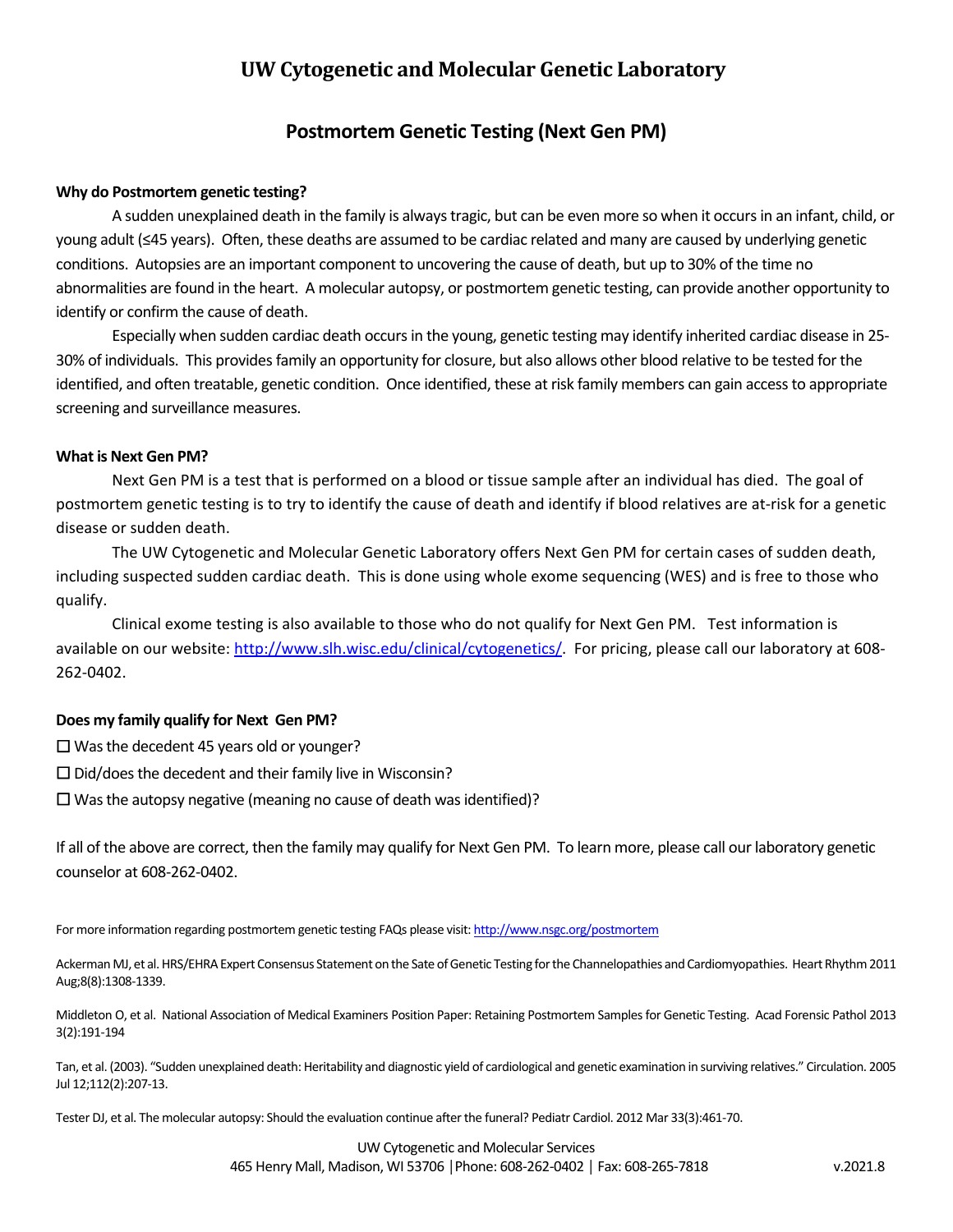## **Postmortem Genetic Testing (Next Gen PM)**

### **Why do Postmortem genetic testing?**

A sudden unexplained death in the family is always tragic, but can be even more so when it occurs in an infant, child, or young adult (≤45 years). Often, these deaths are assumed to be cardiac related and many are caused by underlying genetic conditions. Autopsies are an important component to uncovering the cause of death, but up to 30% of the time no abnormalities are found in the heart. A molecular autopsy, or postmortem genetic testing, can provide another opportunity to identify or confirm the cause of death.

Especially when sudden cardiac death occurs in the young, genetic testing may identify inherited cardiac disease in 25‐ 30% of individuals. This provides family an opportunity for closure, but also allows other blood relative to be tested for the identified, and often treatable, genetic condition. Once identified, these at risk family members can gain access to appropriate screening and surveillance measures.

#### **What is Next Gen PM?**

Next Gen PM is a test that is performed on a blood or tissue sample after an individual has died. The goal of postmortem genetic testing is to try to identify the cause of death and identify if blood relatives are at‐risk for a genetic disease or sudden death.

The UW Cytogenetic and Molecular Genetic Laboratory offers Next Gen PM for certain cases of sudden death, including suspected sudden cardiac death. This is done using whole exome sequencing (WES) and is free to those who qualify.

Clinical exome testing is also available to those who do not qualify for Next Gen PM. Test information is available on our website: http://www.slh.wisc.edu/clinical/cytogenetics/. For pricing, please call our laboratory at 608‐ 262‐0402.

#### **Does my family qualify for Next Gen PM?**

☐ Was the decedent 45 years old or younger?

 $\Box$  Did/does the decedent and their family live in Wisconsin?

 $\Box$  Was the autopsy negative (meaning no cause of death was identified)?

If all of the above are correct, then the family may qualify for Next Gen PM. To learn more, please call our laboratory genetic counselor at 608‐262‐0402.

For more information regarding postmortem genetic testing FAQs please visit: http://www.nsgc.org/postmortem

Ackerman MJ, et al. HRS/EHRA Expert Consensus Statement on the Sate of Genetic Testing for the Channelopathies and Cardiomyopathies. Heart Rhythm 2011 Aug;8(8):1308‐1339.

Middleton O, et al. National Association of Medical Examiners Position Paper: Retaining Postmortem Samples for Genetic Testing. Acad Forensic Pathol 2013 3(2):191‐194

Tan, et al. (2003). "Sudden unexplained death: Heritability and diagnostic yield of cardiological and genetic examination in surviving relatives." Circulation. 2005 Jul 12;112(2):207‐13.

Tester DJ, et al. The molecular autopsy: Should the evaluation continue after the funeral? Pediatr Cardiol. 2012 Mar 33(3):461‐70.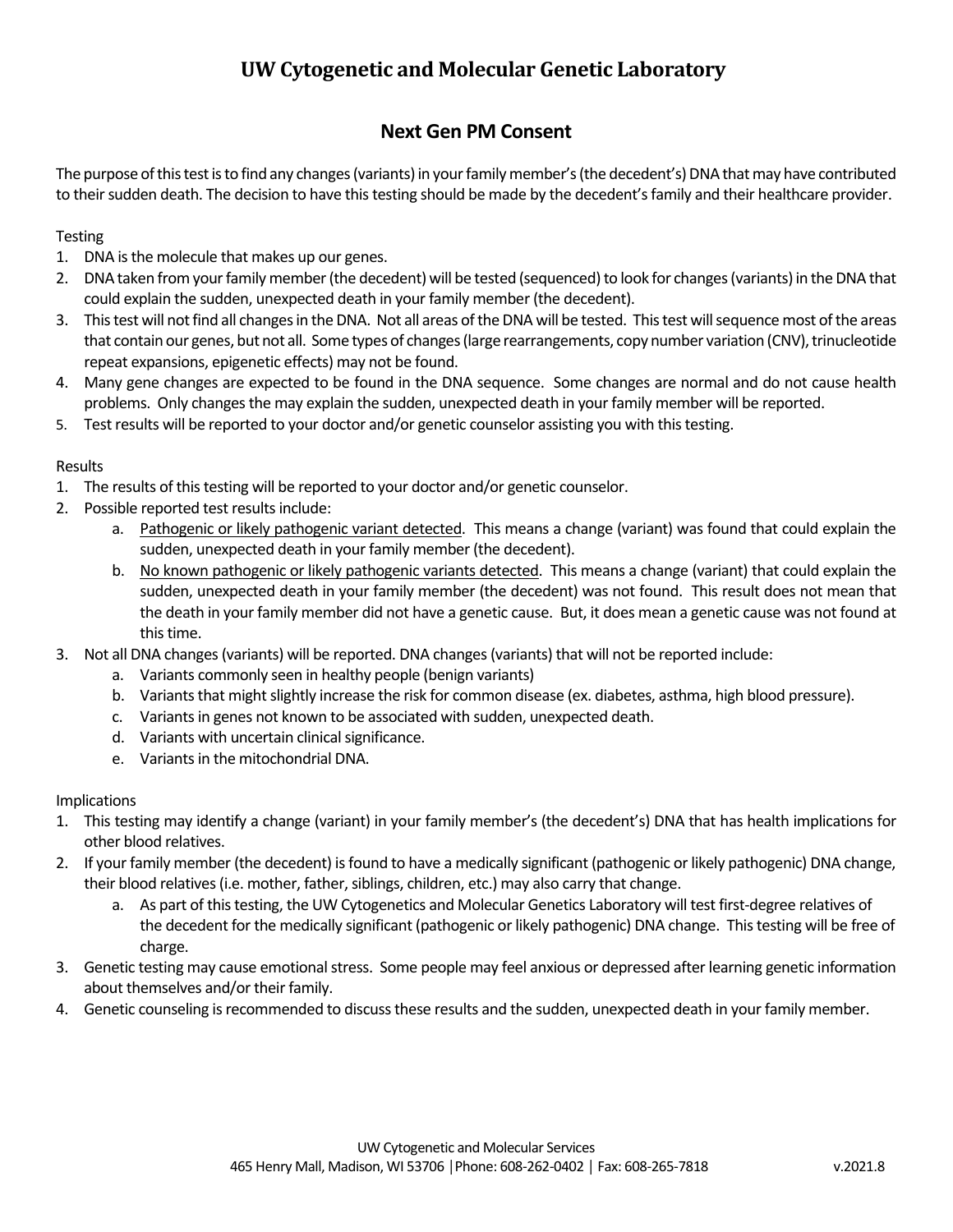# **Next Gen PM Consent**

The purpose of this test is to find any changes (variants) in your family member's (the decedent's) DNA that may have contributed to their sudden death. The decision to have this testing should be made by the decedent's family and their healthcare provider.

### **Testing**

- 1. DNA is the molecule that makes up our genes.
- 2. DNA taken from your family member (the decedent) will be tested (sequenced) to look for changes (variants) in the DNA that could explain the sudden, unexpected death in your family member (the decedent).
- 3. This test will not find all changes in the DNA. Not all areas of the DNA will be tested. This test will sequence most of the areas that contain our genes, but not all. Some types of changes (large rearrangements, copy number variation (CNV), trinucleotide repeat expansions, epigenetic effects) may not be found.
- 4. Many gene changes are expected to be found in the DNA sequence. Some changes are normal and do not cause health problems. Only changes the may explain the sudden, unexpected death in your family member will be reported.
- 5. Test results will be reported to your doctor and/or genetic counselor assisting you with this testing.

### Results

- 1. The results of this testing will be reported to your doctor and/or genetic counselor.
- 2. Possible reported test results include:
	- a. Pathogenic or likely pathogenic variant detected. This means a change (variant) was found that could explain the sudden, unexpected death in your family member (the decedent).
	- b. No known pathogenic or likely pathogenic variants detected. This means a change (variant) that could explain the sudden, unexpected death in your family member (the decedent) was not found. This result does not mean that the death in your family member did not have a genetic cause. But, it does mean a genetic cause was not found at this time.
- 3. Not all DNA changes (variants) will be reported. DNA changes (variants) that will not be reported include:
	- a. Variants commonly seen in healthy people (benign variants)
	- b. Variants that might slightly increase the risk for common disease (ex. diabetes, asthma, high blood pressure).
	- c. Variants in genes not known to be associated with sudden, unexpected death.
	- d. Variants with uncertain clinical significance.
	- e. Variants in the mitochondrial DNA.

### **Implications**

- 1. This testing may identify a change (variant) in your family member's (the decedent's) DNA that has health implications for other blood relatives.
- 2. If your family member (the decedent) is found to have a medically significant (pathogenic or likely pathogenic) DNA change, their blood relatives (i.e. mother, father, siblings, children, etc.) may also carry that change.
	- a. As part of this testing, the UW Cytogenetics and Molecular Genetics Laboratory will test first-degree relatives of the decedent for the medically significant (pathogenic or likely pathogenic) DNA change. This testing will be free of charge.
- 3. Genetic testing may cause emotional stress. Some people may feel anxious or depressed after learning genetic information about themselves and/or their family.
- 4. Genetic counseling is recommended to discuss these results and the sudden, unexpected death in your family member.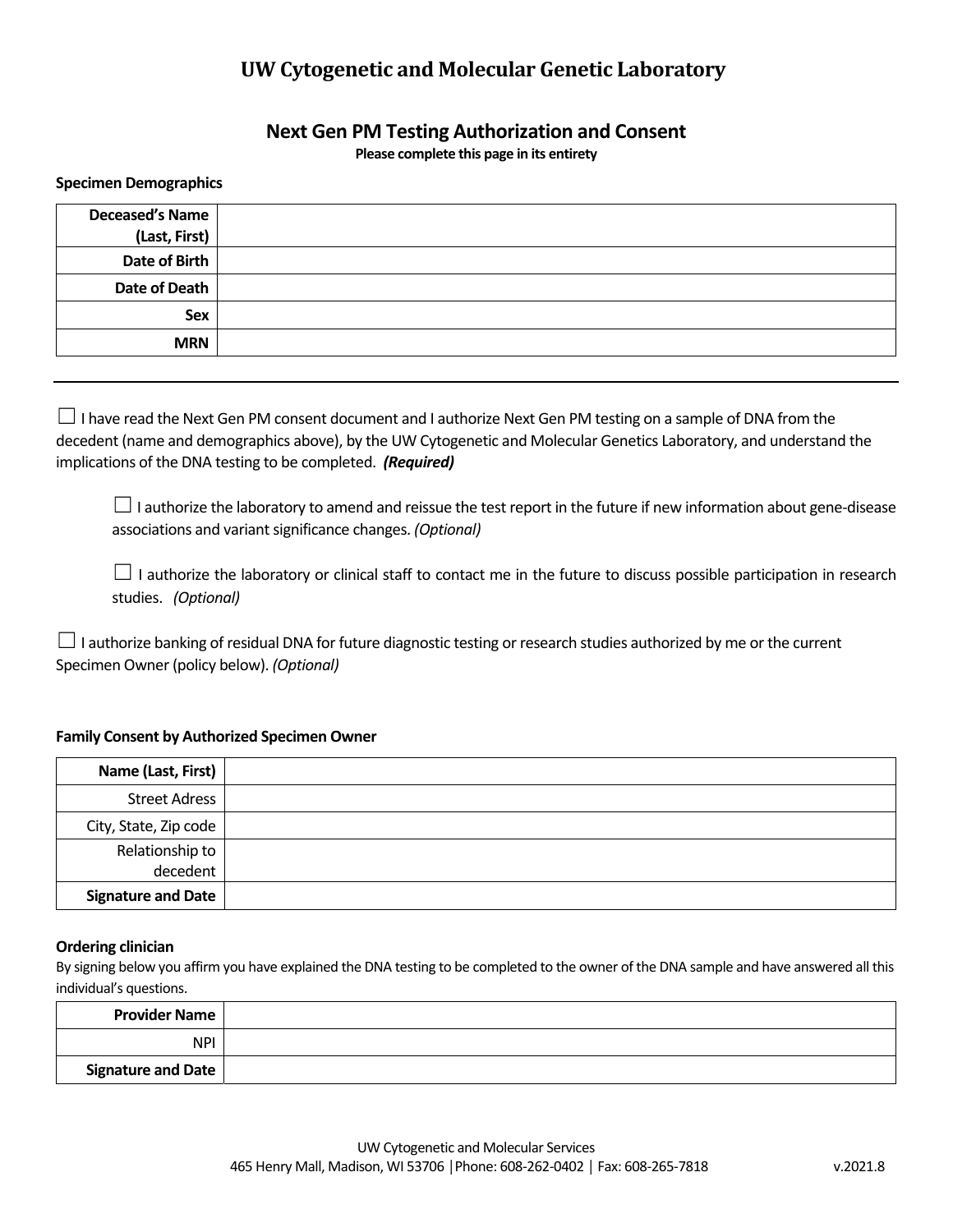## **Next Gen PM Testing Authorization and Consent**

**Please complete this page in its entirety** 

#### **Specimen Demographics**

| <b>Deceased's Name</b><br>(Last, First) |  |
|-----------------------------------------|--|
| Date of Birth                           |  |
| Date of Death                           |  |
| Sex                                     |  |
| <b>MRN</b>                              |  |

 $\Box$  I have read the Next Gen PM consent document and I authorize Next Gen PM testing on a sample of DNA from the decedent (name and demographics above), by the UW Cytogenetic and Molecular Genetics Laboratory, and understand the implications of the DNA testing to be completed. *(Required)*

□ I authorize the laboratory to amend and reissue the test report in the future if new information about gene-disease associations and variant significance changes. *(Optional)*

 $□$  I authorize the laboratory or clinical staff to contact me in the future to discuss possible participation in research studies. *(Optional)*

 $□$  I authorize banking of residual DNA for future diagnostic testing or research studies authorized by me or the current Specimen Owner (policy below). *(Optional)*

#### **Family Consent by Authorized Specimen Owner**

| Name (Last, First)        |  |
|---------------------------|--|
| <b>Street Adress</b>      |  |
| City, State, Zip code     |  |
| Relationship to           |  |
| decedent                  |  |
| <b>Signature and Date</b> |  |

#### **Ordering clinician**

By signing below you affirm you have explained the DNA testing to be completed to the owner of the DNA sample and have answered all this individual's questions.

| <b>Provider Name</b> |  |
|----------------------|--|
| <b>NPI</b>           |  |
| Signature and Date   |  |